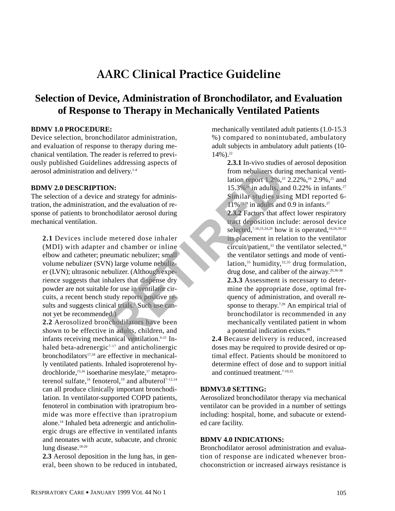# **AARC Clinical Practice Guideline**

# **Selection of Device, Administration of Bronchodilator, and Evaluation of Response to Therapy in Mechanically Ventilated Patients**

#### **BDMV 1.0 PROCEDURE:**

Device selection, bronchodilator administration, and evaluation of response to therapy during mechanical ventilation. The reader is referred to previously published Guidelines addressing aspects of aerosol administration and delivery.<sup>1-4</sup>

#### **BDMV 2.0 DESCRIPTION:**

The selection of a device and strategy for administration, the administration, and the evaluation of response of patients to bronchodilator aerosol during mechanical ventilation.

**2.1** Devices include metered dose inhaler (MDI) with adapter and chamber or inline elbow and catheter; pneumatic nebulizer; small volume nebulizer (SVN) large volume nebulizer (LVN); ultrasonic nebulizer. (Although experience suggests that inhalers that dispense dry powder are not suitable for use in ventilator circuits, a recent bench study reports positive results and suggests clinical trials.<sup>5</sup> Such use cannot yet be recommended.)

**2.2** Aerosolized bronchodilators have been shown to be effective in adults, children, and infants receiving mechanical ventilation.6-21 Inhaled beta-adrenergic<sup>7-17</sup> and anticholinergic bronchodilators $17,18$  are effective in mechanically ventilated patients. Inhaled isoproterenol hydrochloride,<sup>15,16</sup> isoetharine mesylate,<sup>17</sup> metaproterenol sulfate,<sup>18</sup> fenoterol,<sup>19</sup> and albuterol<sup>7-12,14</sup> can all produce clinically important bronchodilation. In ventilator-supported COPD patients, fenoterol in combination with ipratropium bromide was more effective than ipratropium alone.14 Inhaled beta adrenergic and anticholinergic drugs are effective in ventilated infants and neonates with acute, subacute, and chronic lung disease.<sup>18-20</sup>

**2.3** Aerosol deposition in the lung has, in general, been shown to be reduced in intubated, mechanically ventilated adult patients (1.0-15.3 %) compared to nonintubated, ambulatory adult subjects in ambulatory adult patients (10-  $14\%$ ).<sup>22</sup>

> **2.3.1** In-vivo studies of aerosol deposition from nebulizers during mechanical ventilation report 1.2%,<sup>23</sup> 2.22%,<sup>24</sup> 2.9%,<sup>25</sup> and  $15.3\%$ <sup>26</sup> in adults, and 0.22% in infants.<sup>27</sup> Similar studies using MDI reported 6-  $11\%$ <sup>23,28</sup> in adults and 0.9 in infants.<sup>27</sup>

**2.3.2** Factors that affect lower respiratory tract deposition include: aerosol device selected,<sup>7,10,23,24,29</sup> how it is operated,<sup>24,26,30-32</sup> its placement in relation to the ventilator circuit/patient, $33$  the ventilator selected, $34$ the ventilator settings and mode of ventilation,<sup>35</sup> humidity,<sup>32,35</sup> drug formulation, drug dose, and caliber of the airway.<sup>29,36-38</sup> **2.3.3** Assessment is necessary to determine the appropriate dose, optimal frequency of administration, and overall response to therapy.<sup>7,39</sup> An empirical trial of bronchodilator is recommended in any mechanically ventilated patient in whom a potential indication exists.40 **EXECUTE:**<br> **RETRACT AND ASSEMATE SERVIDE AND ASSEMATION CONTA THE CALCULTER (SACT AND ASSEMBLY).<sup>14</sup><br>
<b>RETRACT AND ASSEMATE SERVIDE AND ASSEMATION CONTRACT AND ASSEMBLY AND THE CALCULTER (Although experiment in relation i** 

**2.4** Because delivery is reduced, increased doses may be required to provide desired or optimal effect. Patients should be monitored to determine effect of dose and to support initial and continued treatment.<sup>7-10,32</sup>

#### **BDMV3.0 SETTING:**

Aerosolized bronchodilator therapy via mechanical ventilator can be provided in a number of settings including: hospital, home, and subacute or extended care facility.

#### **BDMV 4.0 INDICATIONS:**

Bronchodilator aerosol administration and evaluation of response are indicated whenever bronchoconstriction or increased airways resistance is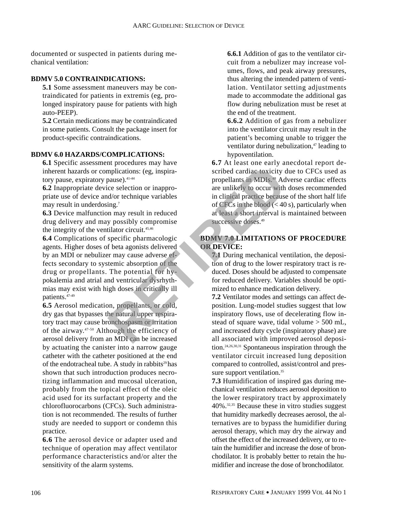documented or suspected in patients during mechanical ventilation:

#### **BDMV 5.0 CONTRAINDICATIONS:**

**5.1** Some assessment maneuvers may be contraindicated for patients in extremis (eg, prolonged inspiratory pause for patients with high auto-PEEP).

**5.2** Certain medications may be contraindicated in some patients. Consult the package insert for product-specific contraindications.

#### **BDMV 6.0 HAZARDS/COMPLICATIONS:**

**6.1** Specific assessment procedures may have inherent hazards or complications: (eg, inspiratory pause, expiratory pause).  $41-44$ 

**6.2** Inappropriate device selection or inappropriate use of device and/or technique variables may result in underdosing.7

**6.3** Device malfunction may result in reduced drug delivery and may possibly compromise the integrity of the ventilator circuit. $45,46$ 

**6.4** Complications of specific pharmacologic agents. Higher doses of beta agonists delivered by an MDI or nebulizer may cause adverse effects secondary to systemic absorption of the drug or propellants. The potential for hypokalemia and atrial and ventricular dysrhythmias may exist with high doses in critically ill patients.47-49 mplications: (eg, inspirantions: eg, inspirantions: eg, inspirantions: eg, inspirantions: eg, inspirantions: eg, inspirantions: eg, inspirantions: and the propellants in CDIs.<sup>88</sup> Ad ce selection or inapproprime in clinica

**6.5** Aerosol medication, propellants, or cold, dry gas that bypasses the natural upper respiratory tract may cause bronchospasm or irritation of the airway.47-50 Although the efficiency of aerosol delivery from an MDI can be increased by actuating the canister into a narrow gauge catheter with the catheter positioned at the end of the endotracheal tube. A study in rabbits $29$  has shown that such introduction produces necrotizing inflammation and mucosal ulceration, probably from the topical effect of the oleic acid used for its surfactant property and the chlorofluorocarbons (CFCs). Such administration is not recommended. The results of further study are needed to support or condemn this practice.

**6.6** The aerosol device or adapter used and technique of operation may affect ventilator performance characteristics and/or alter the sensitivity of the alarm systems.

**6.6.1** Addition of gas to the ventilator circuit from a nebulizer may increase volumes, flows, and peak airway pressures, thus altering the intended pattern of ventilation. Ventilator setting adjustments made to accommodate the additional gas flow during nebulization must be reset at the end of the treatment.

**6.6.2** Addition of gas from a nebulizer into the ventilator circuit may result in the patient's becoming unable to trigger the ventilator during nebulization,<sup>47</sup> leading to hypoventilation.

**6.7** At least one early anecdotal report described cardiac toxicity due to CFCs used as propellants in MDIs.<sup>48</sup> Adverse cardiac effects are unlikely to occur with doses recommended in clinical practice because of the short half life of CFCs in the blood  $(< 40 \text{ s})$ , particularly when at least a short interval is maintained between successive doses.<sup>49</sup>

# **BDMV 7.0 LIMITATIONS OF PROCEDURE OR DEVICE:**

**7.1** During mechanical ventilation, the deposition of drug to the lower respiratory tract is reduced. Doses should be adjusted to compensate for reduced delivery. Variables should be optimized to enhance medication delivery.

**7.2** Ventilator modes and settings can affect deposition. Lung-model studies suggest that low inspiratory flows, use of decelerating flow instead of square wave, tidal volume > 500 mL, and increased duty cycle (inspiratory phase) are all associated with improved aerosol deposition.24,26,30,31 Spontaneous inspiration through the ventilator circuit increased lung deposition compared to controlled, assist/control and pressure support ventilation.<sup>35</sup>

**7.3** Humidification of inspired gas during mechanical ventilation reduces aerosol deposition to the lower respiratory tract by approximately 40%.32,35 Because these in vitro studies suggest that humidity markedly decreases aerosol, the alternatives are to bypass the humidifier during aerosol therapy, which may dry the airway and offset the effect of the increased delivery, or to retain the humidifier and increase the dose of bronchodilator. It is probably better to retain the humidifier and increase the dose of bronchodilator.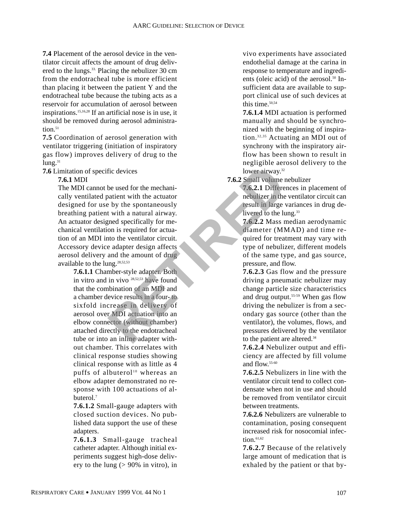**7.4** Placement of the aerosol device in the ventilator circuit affects the amount of drug delivered to the lungs.33. Placing the nebulizer 30 cm from the endotracheal tube is more efficient than placing it between the patient Y and the endotracheal tube because the tubing acts as a reservoir for accumulation of aerosol between inspirations.15,16,28 If an artificial nose is in use, it should be removed during aerosol administra $tion<sup>51</sup>$ 

**7.5** Coordination of aerosol generation with ventilator triggering (initiation of inspiratory gas flow) improves delivery of drug to the  $l$ ung. $31$ 

**7.6** Limitation of specific devices

**7.6.1** MDI

The MDI cannot be used for the mechanically ventilated patient with the actuator designed for use by the spontaneously breathing patient with a natural airway. An actuator designed specifically for mechanical ventilation is required for actuation of an MDI into the ventilator circuit. Accessory device adapter design affects aerosol delivery and the amount of drug available to the lung.28,52,53 Fic devices<br>
be used for the mechani-<br>
be used for the mechani-<br>
2.6.2.2 Mmall volume r<br>
be the spontaneously<br>
the a natural airway.<br>
T.6.2.1 Different<br>
on is required for actual<br>
to the langer of required for actual<br>
on i

**7.6.1.1** Chamber-style adapter. Both in vitro and in vivo 28,52,53 have found that the combination of an MDI and a chamber device results in a four- to sixfold increase in delivery of aerosol over MDI actuation into an elbow connector (without chamber) attached directly to the endotracheal tube or into an inline adapter without chamber. This correlates with clinical response studies showing clinical response with as little as 4 puffs of albuterol<sup>10</sup> whereas an elbow adapter demonstrated no response with 100 actuations of albuterol.<sup>7</sup>

**7.6.1.2** Small-gauge adapters with closed suction devices. No published data support the use of these adapters.

**7.6.1.3** Small-gauge tracheal catheter adapter. Although initial experiments suggest high-dose delivery to the lung  $(> 90\%$  in vitro), in vivo experiments have associated endothelial damage at the carina in response to temperature and ingredients (oleic acid) of the aerosol.<sup>50</sup> Insufficient data are available to support clinical use of such devices at this time.<sup>50,54</sup>

**7.6.1.4** MDI actuation is performed manually and should be synchronized with the beginning of inspiration.32,35 Actuating an MDI out of synchrony with the inspiratory airflow has been shown to result in negligible aerosol delivery to the lower airway.<sup>32</sup>

**7.6.2** Small volume nebulizer

**7.6.2.1** Differences in placement of nebulizer in the ventilator circuit can result in large variances in drug delivered to the lung.<sup>33</sup>

**7.6.2.2** Mass median aerodynamic diameter (MMAD) and time required for treatment may vary with type of nebulizer, different models of the same type, and gas source, pressure, and flow.

**7.6.2.3** Gas flow and the pressure driving a pneumatic nebulizer may change particle size characteristics and drug output.55-59 When gas flow driving the nebulizer is from a secondary gas source (other than the ventilator), the volumes, flows, and pressures delivered by the ventilator to the patient are altered.<sup>34</sup>

**7.6.2.4** Nebulizer output and efficiency are affected by fill volume and flow 55-60

**7.6.2.5** Nebulizers in line with the ventilator circuit tend to collect condensate when not in use and should be removed from ventilator circuit between treatments.

**7.6.2.6** Nebulizers are vulnerable to contamination, posing consequent increased risk for nosocomial infection $61,62$ 

**7.6.2.7** Because of the relatively large amount of medication that is exhaled by the patient or that by-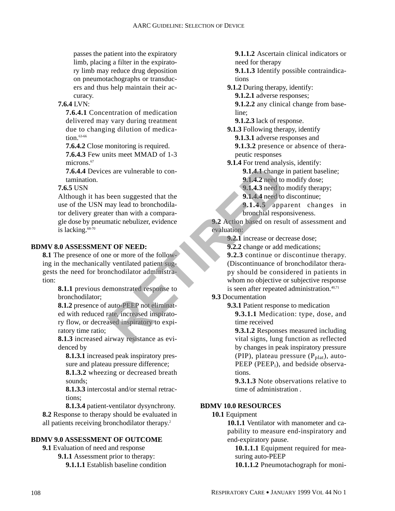passes the patient into the expiratory limb, placing a filter in the expiratory limb may reduce drug deposition on pneumotachographs or transducers and thus help maintain their accuracy.

## **7.6.4** LVN:

**7.6.4.1** Concentration of medication delivered may vary during treatment due to changing dilution of medication. $63-66$ 

**7.6.4.2** Close monitoring is required. **7.6.4.3** Few units meet MMAD of 1-3 microns<sup>67</sup>

**7.6.4.4** Devices are vulnerable to contamination.

**7.6.5** USN

Although it has been suggested that the use of the USN may lead to bronchodilator delivery greater than with a comparagle dose by pneumatic nebulizer, evidence is lacking. $68-70$ Example to continuate the particular of the temporary of the expert of the particular continuity of the temporary and the most and the most of the following the expertise of the following the experiment of the following th

#### **BDMV 8.0 ASSESSMENT OF NEED:**

**8.1** The presence of one or more of the following in the mechanically ventilated patient suggests the need for bronchodilator administration:

> **8.1.1** previous demonstrated response to bronchodilator;

**8.1.2** presence of auto-PEEP not eliminated with reduced rate, increased inspiratory flow, or decreased inspiratory to expiratory time ratio;

**8.1.3** increased airway resistance as evidenced by

**8.1.3.1** increased peak inspiratory pressure and plateau pressure difference;

**8.1.3.2** wheezing or decreased breath sounds;

**8.1.3.3** intercostal and/or sternal retractions;

**8.1.3.4** patient-ventilator dysynchrony. **8.2** Response to therapy should be evaluated in all patients receiving bronchodilator therapy.2

#### **BDMV 9.0 ASSESSMENT OF OUTCOME**

**9.1** Evaluation of need and response **9.1.1** Assessment prior to therapy: **9.1.1.1** Establish baseline condition **9.1.1.2** Ascertain clinical indicators or need for therapy

**9.1.1.3** Identify possible contraindications

**9.1.2** During therapy, identify:

**9.1.2.1** adverse responses;

**9.1.2.2** any clinical change from baseline;

**9.1.2.3** lack of response.

**9.1.3** Following therapy, identify

**9.1.3.1** adverse responses and

**9.1.3.2** presence or absence of therapeutic responses

**9.1.4** For trend analysis, identify:

**9.1.4.1** change in patient baseline;

**9.1.4.2** need to modify dose;

**9.1.4.3** need to modify therapy;

**9.1.4.4** need to discontinue;

**9.1.4.5** apparent changes in bronchial responsiveness.

**9.2** Action based on result of assessment and evaluation:

**9.2.1** increase or decrease dose;

**9.2.2** change or add medications;

**9.2.3** continue or discontinue therapy. (Discontinuance of bronchodilator therapy should be considered in patients in whom no objective or subjective response is seen after repeated administration. $40,71$ 

#### **9.3** Documentation

**9.3.1** Patient response to medication

**9.3.1.1** Medication: type, dose, and time received

**9.3.1.2** Responses measured including vital signs, lung function as reflected by changes in peak inspiratory pressure (PIP), plateau pressure  $(P<sub>plat</sub>)$ , auto-PEEP ( $PEEP_i$ ), and bedside observations.

**9.3.1.3** Note observations relative to time of administration .

# **BDMV 10.0 RESOURCES**

#### **10.1** Equipment

**10.1.1** Ventilator with manometer and capability to measure end-inspiratory and end-expiratory pause.

**10.1.1.1** Equipment required for measuring auto-PEEP

**10.1.1.2** Pneumotachograph for moni-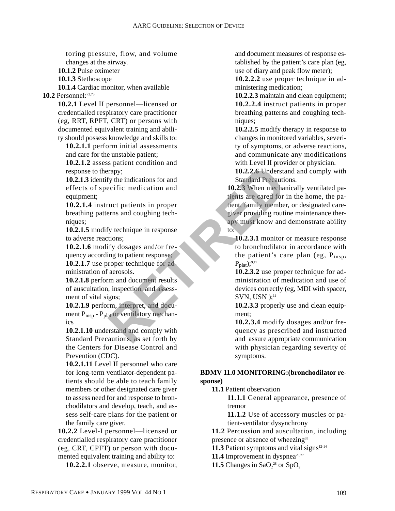toring pressure, flow, and volume changes at the airway.

**10.1.2** Pulse oximeter

**10.1.3** Stethoscope

**10.1.4** Cardiac monitor, when available **10.2** Personnel:72,73

> **10.2.1** Level II personnel—licensed or credentialled respiratory care practitioner (eg, RRT, RPFT, CRT) or persons with documented equivalent training and ability should possess knowledge and skills to:

**10.2.1.1** perform initial assessments and care for the unstable patient;

**10.2.1.2** assess patient condition and response to therapy;

**10.2.1.3** identify the indications for and effects of specific medication and equipment;

**10.2.1.4** instruct patients in proper breathing patterns and coughing techniques;

**10.2.1.5** modify technique in response to adverse reactions;

**10.2.1.6** modify dosages and/or frequency according to patient response; **10.2.1.7** use proper technique for administration of aerosols.

**10.2.1.8** perform and document results of auscultation, inspection, and assessment of vital signs;

**10.2.1.9** perform, interpret, and document P<sub>insp</sub> - P<sub>plat</sub> or ventilatory mechanics

**10.2.1.10** understand and comply with Standard Precautions, as set forth by the Centers for Disease Control and Prevention (CDC).

**10.2.1.11** Level II personnel who care for long-term ventilator-dependent patients should be able to teach family members or other designated care giver to assess need for and response to bronchodilators and develop, teach, and assess self-care plans for the patient or the family care giver.

**10.2.2** Level-I personnel—licensed or credentialled respiratory care practitioner (eg, CRT, CPFT) or person with documented equivalent training and ability to:

**10.2.2.1** observe, measure, monitor,

and document measures of response established by the patient's care plan (eg, use of diary and peak flow meter);

**10.2.2.2** use proper technique in administering medication;

**10.2.2.3** maintain and clean equipment; **10.2.2.4** instruct patients in proper breathing patterns and coughing techniques;

**10.2.2.5** modify therapy in response to changes in monitored variables, severity of symptoms, or adverse reactions, and communicate any modifications with Level II provider or physician.

**10.2.2.6** Understand and comply with Standard Precautions.

**10.2.3** When mechanically ventilated patients are cared for in the home, the patient, family member, or designated caregiver providing routine maintenance therapy must know and demonstrate ability to: rapy;<br>
Figure in the indications for and<br>
ecific medication and<br>
ecific medication and<br>
ecific medication and<br>
tients are eared for<br>
tients are eared for<br>
tients are eared for<br>
tients are eared for<br>
tients are eared for<br>
t

**10.2.3.1** monitor or measure response to bronchodilator in accordance with the patient's care plan (eg,  $P_{insp}$ ,  $P_{\text{plat}}$ );<sup>9,11</sup>

**10.2.3.2** use proper technique for administration of medication and use of devices correctly (eg, MDI with spacer, SVN, USN);<sup>11</sup>

**10.2.3.3** properly use and clean equipment;

**10.2.3.4** modify dosages and/or frequency as prescribed and instructed and assure appropriate communication with physician regarding severity of symptoms.

#### **BDMV 11.0 MONITORING:(bronchodilator response)**

**11.1** Patient observation

**11.1.1** General appearance, presence of tremor

**11.1.2** Use of accessory muscles or patient-ventilator dysynchrony

**11.2** Percussion and auscultation, including presence or absence of wheezing<sup>33</sup>

**11.3** Patient symptoms and vital signs $12-14$ 

**11.4** Improvement in dyspnea $26.27$ 

**11.5** Changes in  $\text{SaO}_2^{\,28}$  or  $\text{SpO}_2$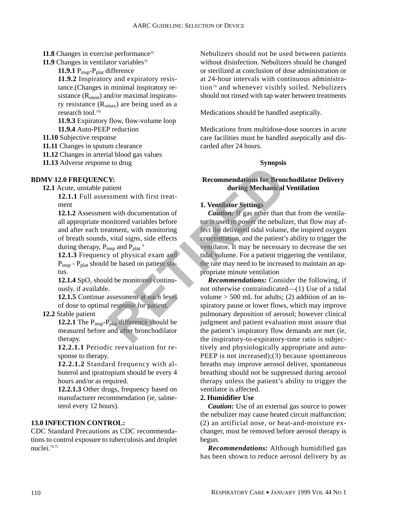- **11.8** Changes in exercise performance<sup>32</sup>
- **11.9** Changes in ventilator variables<sup>35</sup>

11.9.1 P<sub>insp</sub>-P<sub>plat</sub> difference **11.9.2** Inspiratory and expiratory resistance.(Changes in minimal inspiratory resistance  $(R_{\text{smin}})$  and/or maximal inspiratory resistance  $(R<sub>smax</sub>)$  are being used as a research tool.<sup>10)</sup>

**11.9.3** Expiratory flow, flow-volume loop **11.9.4** Auto-PEEP reduction

**11.10** Subjective response

**11.11** Changes in sputum clearance

**11.12** Changes in arterial blood gas values

**11.13** Adverse response to drug

#### **BDMV 12.0 FREQUENCY:**

**12.1** Acute, unstable patient

**12.1.1** Full assessment with first treatment

**12.1.2** Assessment with documentation of all appropriate monitored variables before and after each treatment, with monitoring of breath sounds, vital signs, side effects during therapy,  $P_{insp}$  and  $P_{plat}$ <sup>9</sup>

**12.1.3** Frequency of physical exam and P<sub>insp</sub> - P<sub>plat</sub> should be based on patient status.

**12.1.4** SpO<sub>2</sub> should be monitored continuously, if available.

**12.1.5** Continue assessment at each level of dose to optimal response for patient.

**12.2** Stable patient

**12.2.1** The P<sub>insp</sub>-P<sub>plat</sub> difference should be measured before and after bronchodilator therapy.

**12.2.1.1** Periodic reevaluation for response to therapy.

**12.2.1.2** Standard frequency with albuterol and ipratropium should be every 4 hours and/or as required.

**12.2.1.3** Other drugs, frequency based on manufacturer recommendation (ie, salmeterol every 12 hours).

## **13.0 INFECTION CONTROL:**

CDC Standard Precautions as CDC recommendations to control exposure to tuberculosis and droplet nuclei.74,75

Nebulizers should not be used between patients without disinfection. Nebulizers should be changed or sterilized at conclusion of dose administration or at 24-hour intervals with continuous administration76 and whenever visibly soiled. Nebulizers should not rinsed with tap water between treatments

Medications should be handled aseptically.

Medications from multidose-dose sources in acute care facilities must be handled aseptically and discarded after 24 hours.

#### **Synopsis**

#### **Recommendations for Bronchodilator Delivery during Mechanical Ventilation**

#### **1. Ventilator Settings**

*Caution:* If gas other than that from the ventilator is used to power the nebulizer, that flow may affect the delivered tidal volume, the inspired oxygen concentration, and the patient's ability to trigger the ventilator. It may be necessary to decrease the set tidal volume. For a patient triggering the ventilator, the rate may need to be increased to maintain an appropriate minute ventilation

*Recommendations:* Consider the following, if not otherwise contraindicated—(1) Use of a tidal volume  $>$  500 mL for adults; (2) addition of an inspiratory pause or lower flows, which may improve pulmonary deposition of aerosol; however clinical judgment and patient evaluation must assure that the patient's inspiratory flow demands are met (ie, the inspiratory-to-expiratory-time ratio is subjectively and physiologically appropriate and auto-PEEP is not increased);(3) because spontaneous breaths may improve aerosol deliver, spontaneous breathing should not be suppressed during aerosol therapy unless the patient's ability to trigger the ventilator is affected. **Example 18 To 2.6 The set of the set of the set of the set of the set of the set of the set of the set of the set of the delivered tidal volume that with monitoring that signs, side effects were intended to power the neb** 

#### **2. Humidifier Use**

*Caution:* Use of an external gas source to power the nebulizer may cause heated circuit malfunction; (2) an artificial nose, or heat-and-moisture exchanger, must be removed before aerosol therapy is begun.

*Recommendations:* Although humidified gas has been shown to reduce aerosol delivery by as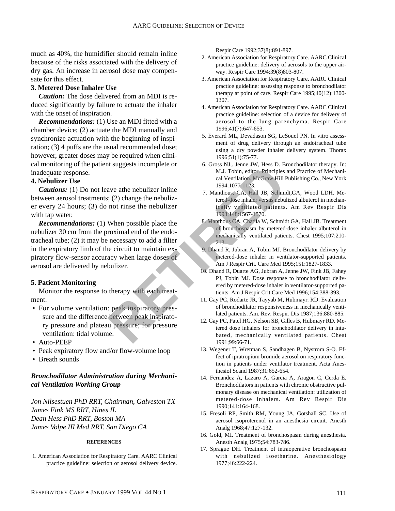much as 40%, the humidifier should remain inline because of the risks associated with the delivery of dry gas. An increase in aerosol dose may compensate for this effect.

#### **3. Metered Dose Inhaler Use**

*Caution:* The dose delivered from an MDI is reduced significantly by failure to actuate the inhaler with the onset of inspiration.

*Recommendations:* (1) Use an MDI fitted with a chamber device; (2) actuate the MDI manually and synchronize actuation with the beginning of inspiration; (3) 4 puffs are the usual recommended dose; however, greater doses may be required when clinical monitoring of the patient suggests incomplete or inadequate response.

#### **4. Nebulizer Use**

*Cautions:* (1) Do not leave athe nebulizer inline between aerosol treatments; (2) change the nebulizer every 24 hours; (3) do not rinse the nebulizer with tap water.

*Recommendations:* (1) When possible place the nebulizer 30 cm from the proximal end of the endotracheal tube; (2) it may be necessary to add a filter in the expiratory limb of the circuit to maintain expiratory flow-sensor accuracy when large doses of aerosol are delivered by nebulizer. Examples and the nebulizer and the nebulizer and the same of the same of the same of the same of the same of the same of the same of the same of the same of the same of the same of the same of the same of the same of the s

#### **5. Patient Monitoring**

Monitor the response to therapy with each treatment.

- For volume ventilation: peak inspiratory pressure and the difference between peak inspiratory pressure and plateau pressure; for pressure ventilation: tidal volume.
- Auto-PEEP
- Peak expiratory flow and/or flow-volume loop
- Breath sounds

## *Bronchodilator Administration during Mechanical Ventilation Working Group*

*Jon Nilsestuen PhD RRT, Chairman, Galveston TX James Fink MS RRT, Hines IL Dean Hess PhD RRT, Boston MA James Volpe III Med RRT, San Diego CA*

#### **REFERENCES**

1. American Association for Respiratory Care. AARC Clinical practice guideline: selection of aerosol delivery device.

Respir Care 1992;37(8):891-897.

- 2. American Association for Respiratory Care. AARC Clinical practice guideline: delivery of aerosols to the upper airway. Respir Care 1994;39(8)803-807.
- 3. American Association for Respiratory Care. AARC Clinical practice guideline: assessing response to bronchodilator therapy at point of care. Respir Care 1995;40(12):1300- 1307.
- 4. American Association for Respiratory Care. AARC Clinical practice guideline: selection of a device for delivery of aerosol to the lung parenchyma. Respir Care 1996;41(7):647-653.
- 5. Everard ML, Devadason SG, LeSouef PN. In vitro assessment of drug delivery through an endotracheal tube using a dry powder inhaler delivery system. Thorax 1996;51(1):75-77.
- 6. Gross NJ,. Jenne JW, Hess D. Bronchodilator therapy. In: M.J. Tobin, editor. Principles and Practice of Mechanical Ventilation. McGraw Hill Publishing Co., New York 1994:1077-1123.
- 7. Manthous, CA, Hall JB, Schmidt,GA, Wood LDH. Metered-dose inhaler versus nebulized albuterol in mechanically ventilated patients. Am Rev Respir Dis 1993;148:1567-1570.
- 8. Manthous CA, Chatila W, Schmidt GA, Hall JB. Treatment of bronchospasm by metered-dose inhaler albuterol in mechanically ventilated patients. Chest 1995;107:210- 213.
- 9. Dhand R, Jubran A, Tobin MJ. Bronchodilator delivery by metered-dose inhaler in ventilator-supported patients. Am J Respir Crit. Care Med 1995;151:1827-1833.
- 10. Dhand R, Duarte AG, Jubran A, Jenne JW, Fink JB, Fahey PJ, Tobin MJ. Dose response to bronchodilator delivered by metered-dose inhaler in ventilator-supported patients. Am J Respir Crit Care Med 1996;154:388-393.
- 11. Gay PC, Rodarte JR, Tayyab M, Hubmayr. RD. Evaluation of bronchodilator responsiveness in mechanically ventilated patients. Am. Rev. Respir. Dis 1987;136:880-885.
- 12. Gay PC, Patel HG, Nelson SB, Gilles B, Hubmayr RD. Metered dose inhalers for bronchodilator delivery in intubated, mechanically ventilated patients. Chest 1991;99:66-71.
- 13. Wegener T, Wretman S, Sandhagen B, Nystrom S-O. Effect of ipratropium bromide aerosol on respiratory function in patients under ventilator treatment. Acta Anesthesiol Scand 1987;31:652-654.
- 14. Fernandez A, Lazaro A, Garcia A, Aragon C, Cerda E. Bronchodilators in patients with chronic obstructive pulmonary disease on mechanical ventilation: utilization of metered-dose inhalers. Am Rev Respir Dis 1990;141:164-168.
- 15. Fresoli RP, Smith RM, Young JA, Gotshall SC. Use of aerosol isoproterenol in an anesthesia circuit. Anesth Analg 1968;47:127-132.
- 16. Gold, MI. Treatment of bronchospasm during anesthesia. Anesth Analg 1975;54:783-786.
- 17. Sprague DH. Treatment of intraoperative bronchospasm with nebulized isoetharine. Anesthesiology 1977;46:222-224.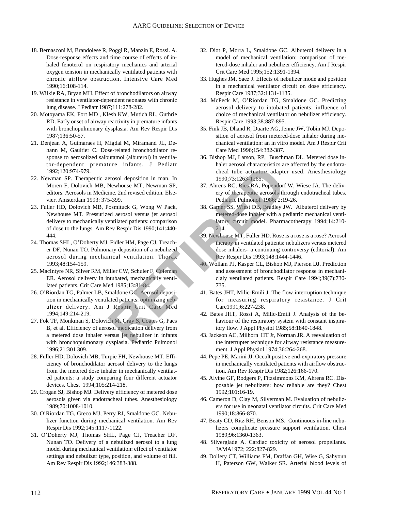- 18. Bernasconi M, Brandolese R, Poggi R, Manzin E, Rossi. A. Dose-response effects and time course of effects of inhaled fenoterol on respiratory mechanics and arterial oxygen tension in mechanically ventilated patients with chronic airflow obstruction. Intensive Care Med 1990;16:108-114.
- 19. Wilkie RA, Bryan MH. Effect of bronchodilators on airway resistance in ventilator-dependent neonates with chronic lung disease. J Pediatr 1987;111:278-282.
- 20. Motoyama EK, Fort MD , Klesh KW, Mutich RL, Guthrie RD. Early onset of airway reactivity in premature infants with bronchopulmonary dysplasia. Am Rev Respir Dis 1987;136:50-57.
- 21. Denjean A, Guimaraes H, Migdal M, Miramand JL, Dehann M, Gaultier C. Dose-related bronchodilator response to aerosolized salbutamol (albuterol) in ventilator-dependent premature infants. J Pediatr 1992;120:974-979.
- 22. Newman SP. Therapeutic aerosol deposition in man. In Moren F, Dolovich MB, Newhouse MT, Newman SP, editors. Aerosols in Medicine. 2nd revised edition. Elsevier. Amsterdam 1993: 375-399.
- 23. Fuller HD, Dolovich MB, Posmituck G, Wong W Pack, Newhouse MT. Pressurized aerosol versus jet aerosol delivery to mechanically ventilated patients: comparison of dose to the lungs. Am Rev Respir Dis 1990;141:440- 444. Contract Control of the studies of the tensor contracts and the extractor (adapted renosol deposition in man. In 1990;73:1263-1265.<br>
The control of the studies of the studies of the studies of the studies of the studies of
- 24. Thomas SHL, O'Doherty MJ, Fidler HM, Page CJ, Treacher DF, Nunan TO. Pulmonary deposition of a nebulized aerosol during mechanical ventilation. Thorax 1993;48:154-159.
- 25. MacIntyre NR, Silver RM, Miller CW, Schuler F, Coleman ER. Aerosol delivery in intubated, mechanically ventilated patients. Crit Care Med 1985;13:81-84.
- 26. O'Riordan TG, Palmer LB, Smaldone GC. Aerosol deposition in mechanically ventilated patients: optimizing nebulizer delivery. Am J Respir Crit Care Med 1994;149:214-219.
- 27. Fok TF, Monkman S, Dolovich M, Gray S, Coates G, Paes B, et al. Efficiency of aerosol medication delivery from a metered dose inhaler versus jet nebulizer in infants with bronchopulmonary dysplasia. Pediatric Pulmonol 1996;21:301 309.
- 28. Fuller HD, Dolovich MB, Turpie FH, Newhouse MT. Efficiency of bronchodilator aerosol delivery to the lungs from the metered dose inhaler in mechanically ventilated patients: a study comparing four different actuator devices. Chest 1994;105:214-218.
- 29. Crogan SJ, Bishop MJ. Delivery efficiency of metered dose aerosols given via endotracheal tubes. Anesthesiology 1989;70:1008-1010.
- 30. O'Riordan TG, Greco MJ, Perry RJ, Smaldone GC. Nebulizer function during mechanical ventilation. Am Rev Respir Dis 1992;145:1117-1122.
- 31. O'Doherty MJ, Thomas SHL, Page CJ, Treacher DF, Nunan TO. Delivery of a nebulized aerosol to a lung model during mechanical ventilation: effect of ventilator settings and nebulizer type, position, and volume of fill. Am Rev Respir Dis 1992;146:383-388.
- 32. Diot P, Morra L, Smaldone GC. Albuterol delivery in a model of mechanical ventilation: comparison of metered-dose inhaler and nebulizer efficiency. Am J Respir Crit Care Med 1995;152:1391-1394.
- 33. Hughes JM, Saez J. Effects of nebulizer mode and position in a mechanical ventilator circuit on dose efficiency. Respir Care 1987;32:1131-1135.
- 34. McPeck M, O'Riordan TG, Smaldone GC. Predicting aerosol delivery to intubated patients: influence of choice of mechanical ventilator on nebulizer efficiency. Respir Care 1993;38:887-895.
- 35. Fink JB, Dhand R, Duarte AG, Jenne JW, Tobin MJ. Deposition of aerosol from metered-dose inhaler during mechanical ventilation: an in vitro model. Am J Respir Crit Care Med 1996;154:382-387.
- 36. Bishop MJ, Larson, RP, Buschman DL. Metered dose inhaler aerosol characteristics are affected by the endotracheal tube actuator/ adapter used. Anesthesiology 1990;73:1263-1265.
- 37. Ahrens RC, Ries RA, Popendorf W, Wiese JA. The delivery of therapeutic aerosols through endotracheal tubes. Pediatric Pulmonol. 1986; 2:19-26.
- 38. Garner SS, Wiest DB, Bradley JW. Albuterol delivery by metered-dose inhaler with a pediatric mechanical ventilatory circuit model. Pharmacotherapy 1994;14:210- 214.
- 39. Newhouse MT, Fuller HD. Rose is a rose is a rose? Aerosol therapy in ventilated patients: nebulizers versus metered dose inhalers- a continuing controversy (editorial). Am Rev Respir Dis 1993;148:1444-1446.
- 40. Wollam PJ, Kasper CL, Bishop MJ, Pierson DJ. Prediction and assessment of bronchodilator response in mechaniclaly ventilated patients. Respir Care 1994;39(7):730- 735.
- 41. Bates JHT, Milic-Emili J. The flow interruption technique for measuring respiratory resistance. J Crit Care1991;6:227-238.
- 42. Bates JHT, Rossi A, Milic-Emili J. Analysis of the behaviour of the respiratory system with constant inspiratory flow. J Appl Physiol 1985;58:1840-1848.
- 43. Jackson AC, Milhorn HT Jr, Norman JR. A reevaluation of the interrupter technique for airway resistance measurement. J Appl Physiol 1974;36:264-268.
- 44. Pepe PE, Marini JJ. Occult positive end-expiratory pressure in mechanically ventilated patients with airflow obstruction. Am Rev Respir Dis 1982;126:166-170.
- 45. Alvine GF, Rodgers P, Fitzsimmons KM, Ahrens RC. Disposable jet nebulizers: how reliable are they? Chest 1992;101:16-19.
- 46. Cameron D, Clay M, Silverman M. Evaluation of nebulizers for use in neonatal ventilator circuits. Crit Care Med 1990;18:866-870.
- 47. Beaty CD, Ritz RH, Benson MS. Continuous in-line nebulizers complicate pressure support ventilation. Chest 1989;96:1360-1363.
- 48. Silverglade A. Cardiac toxicity of aerosol propellants. JAMA1972; 222:827-829.
- 49. Dollery CT, Williams FM, Draffan GH, Wise G, Sahyoun H, Paterson GW, Walker SR. Arterial blood levels of